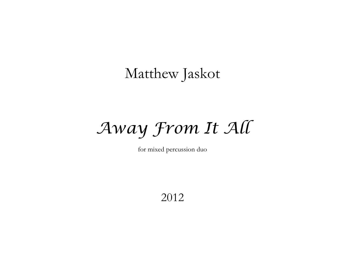# Matthew Jaskot

*Away From It All*

for mixed percussion duo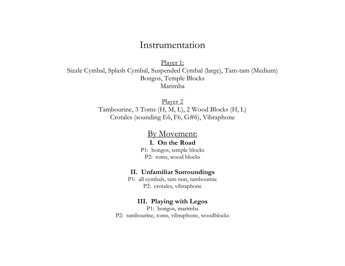### Instrumentation

Player 1:

Sizzle Cymbal, Splash Cymbal, Suspended Cymbal (large), Tam-tam (Medium) Bongos, Temple Blocks Marimba

> Player 2 Tambourine, 3 Toms (H, M, L), 2 Wood Blocks (H, L) Crotales (sounding E6, F6, G#6), Vibraphone

### By Movement:

#### **I. On the Road**

P1: bongos, temple blocks P2: toms, wood blocks

#### **II. Unfamiliar Surroundings**

P1: all cymbals, tam-tam, tambourine P2: crotales, vibraphone

#### **III. Playing with Legos**

P1: bongos, marimba P2: tambourine, toms, vibraphone, woodblocks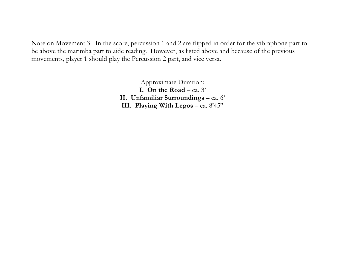Note on Movement 3: In the score, percussion 1 and 2 are flipped in order for the vibraphone part to be above the marimba part to aide reading. However, as listed above and because of the previous movements, player 1 should play the Percussion 2 part, and vice versa.

> Approximate Duration: **I. On the Road** – ca. 3' **II. Unfamiliar Surroundings** – ca. 6' **III. Playing With Legos** – ca. 8'45"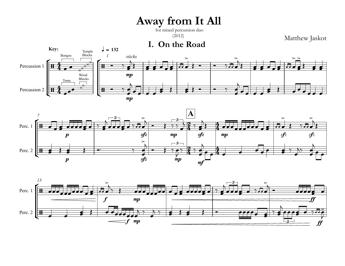## **Away from It All**



(2012) Matthew Jaskot





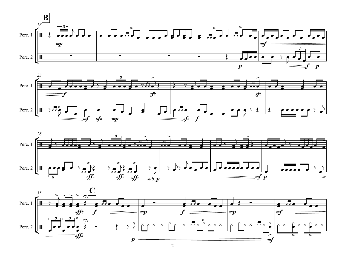





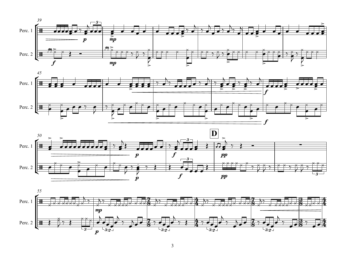





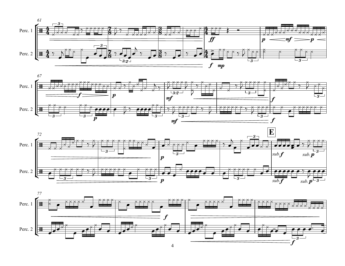





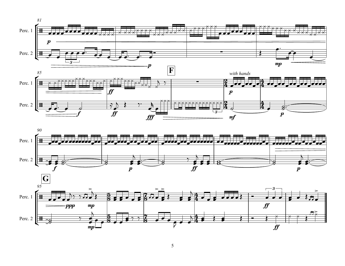



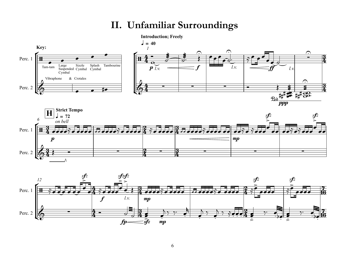## **II. Unfamiliar Surroundings**



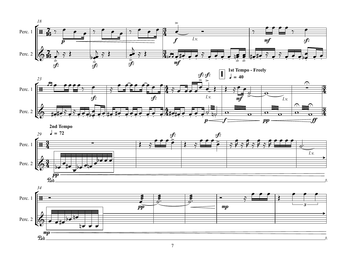





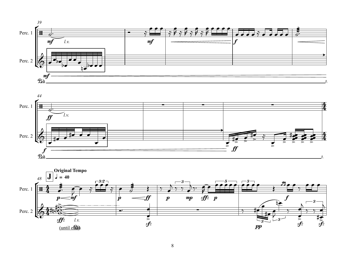



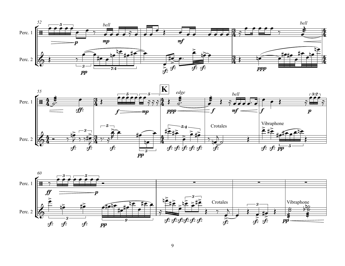



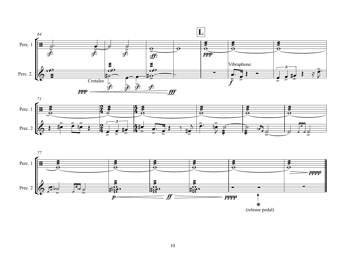



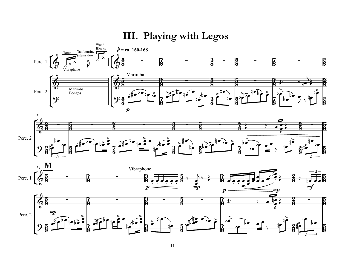## **III. Playing with Legos**





![](_page_13_Figure_3.jpeg)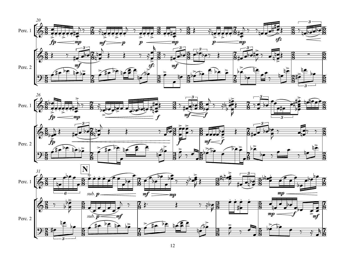![](_page_14_Figure_0.jpeg)

![](_page_14_Figure_1.jpeg)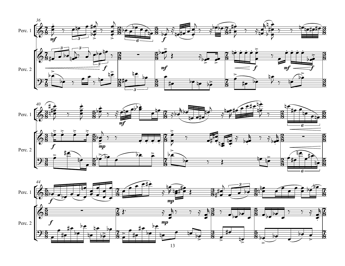![](_page_15_Figure_0.jpeg)

![](_page_15_Figure_1.jpeg)

![](_page_15_Figure_2.jpeg)

![](_page_15_Figure_3.jpeg)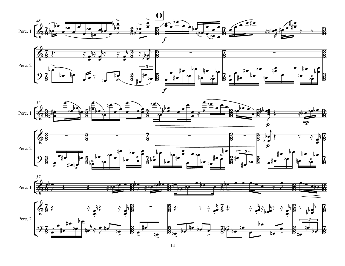![](_page_16_Figure_0.jpeg)

![](_page_16_Figure_1.jpeg)

![](_page_16_Figure_2.jpeg)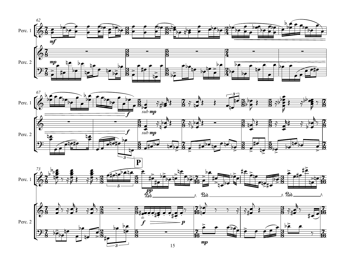![](_page_17_Figure_0.jpeg)

![](_page_17_Figure_1.jpeg)

![](_page_17_Figure_2.jpeg)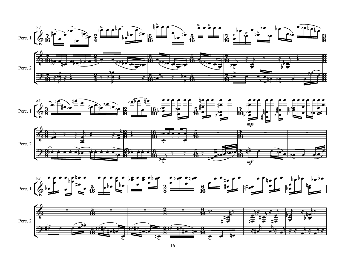![](_page_18_Figure_0.jpeg)

![](_page_18_Figure_1.jpeg)

![](_page_18_Figure_2.jpeg)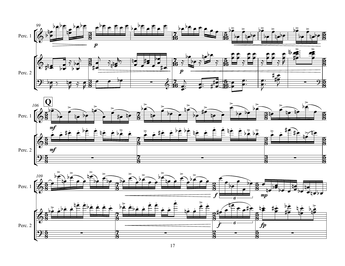![](_page_19_Figure_0.jpeg)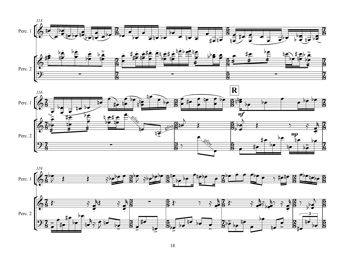![](_page_20_Figure_0.jpeg)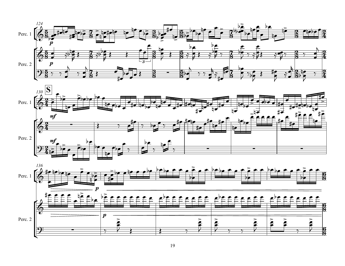![](_page_21_Figure_0.jpeg)

![](_page_21_Figure_1.jpeg)

![](_page_21_Figure_2.jpeg)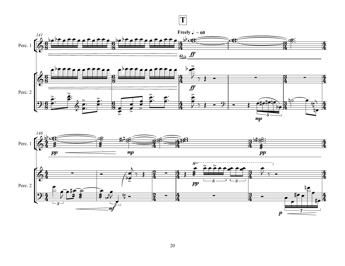![](_page_22_Figure_0.jpeg)

![](_page_22_Figure_1.jpeg)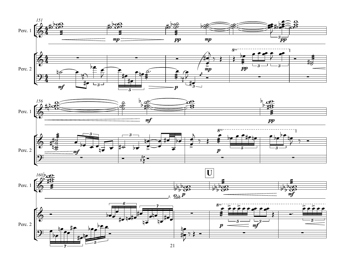![](_page_23_Figure_0.jpeg)

![](_page_23_Figure_1.jpeg)

![](_page_23_Figure_2.jpeg)

![](_page_23_Figure_3.jpeg)

![](_page_23_Figure_4.jpeg)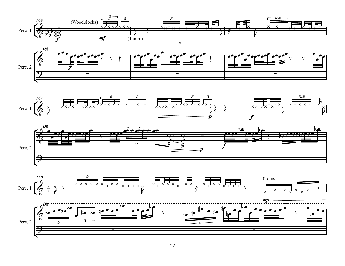![](_page_24_Figure_0.jpeg)

![](_page_24_Figure_1.jpeg)

![](_page_24_Figure_2.jpeg)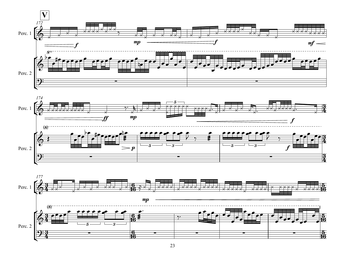![](_page_25_Figure_0.jpeg)

![](_page_25_Figure_1.jpeg)

![](_page_25_Figure_2.jpeg)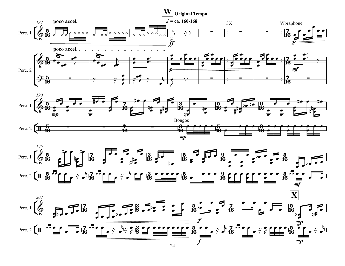![](_page_26_Figure_0.jpeg)

![](_page_26_Figure_1.jpeg)

![](_page_26_Figure_2.jpeg)

![](_page_26_Figure_3.jpeg)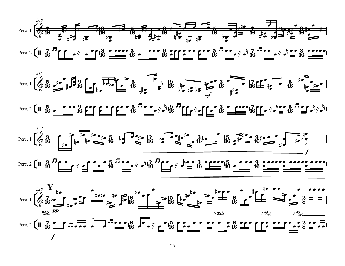![](_page_27_Figure_0.jpeg)

![](_page_27_Figure_1.jpeg)

![](_page_27_Figure_2.jpeg)

![](_page_27_Figure_3.jpeg)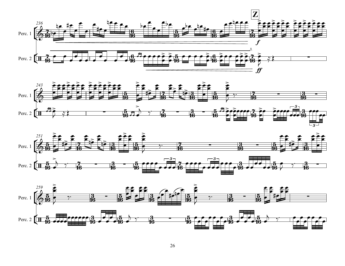![](_page_28_Figure_0.jpeg)

![](_page_28_Figure_1.jpeg)

![](_page_28_Figure_2.jpeg)

![](_page_28_Figure_3.jpeg)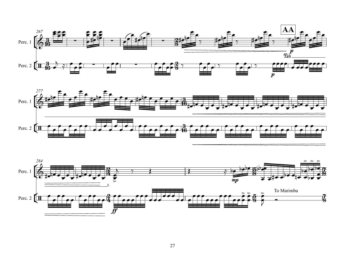![](_page_29_Figure_0.jpeg)

![](_page_29_Figure_1.jpeg)

![](_page_29_Figure_2.jpeg)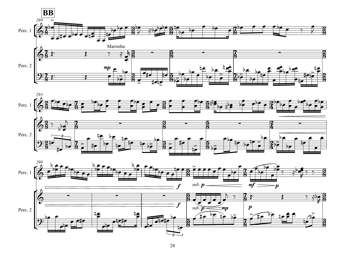![](_page_30_Figure_0.jpeg)

![](_page_30_Figure_1.jpeg)

![](_page_30_Figure_2.jpeg)